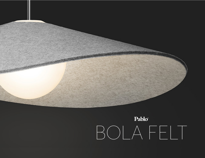

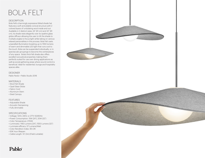# BOLA FELT

#### **DESCRIPTION**

Bola Felt's charmingly expressive felted shade hat features a soft and pliable conical structure with 2 colored layers of undulating wool inside and out. Available in 2 distinct sizes: 24" (61 cm) and 32" (81 cm), its shade rests elegantly over its opaline glass globe diffusor allowing the user to tilt the shade to multiple angles to focus light while taking on various relaxed personalities in the process. Bola Felt casts unparalled illumination boasting up to 1550 lumens of warm and dimmable LED light that runs cool to the touch. Bola can be suspended individually, or in spectacular groupings to become the centerpieces of any space. Bola's thick felt shade also offers excellent acoustical properties making them perfectly suited for use over dining applications as well as social gathering areas where sound control is beneficial. Ideal for residential, lounge and hospitality spaces alike.

#### DESIGNER

Pablo Pardo + Pablo Studio 2018

### MATERIALS

- Wool Felt Shade
- Opal Glass Globe
- Fabric Cord
- Aluminum Stem
- Steel Canopy

### FEATURES

- Adjustable Shade
- Acoustic Dampening
- Fully dimmable

#### **SPECIFICATIONS**

- Voltage: 120V, 240V, or 277V 50/60Hz
- Power Consumption: 15W (24"), 20W (32")
- Color Temperature: 2700K
- Luminosity: 1160 Lumens (24"), 1550 Lumens (32")
- Luminaire efficacy: 57 Lumens/Watt
- Color Rendition Index: 95 CRI
- 50K hour lifespan

Pablo®

• Cable Length: 10' (3m) (Field cuttable)